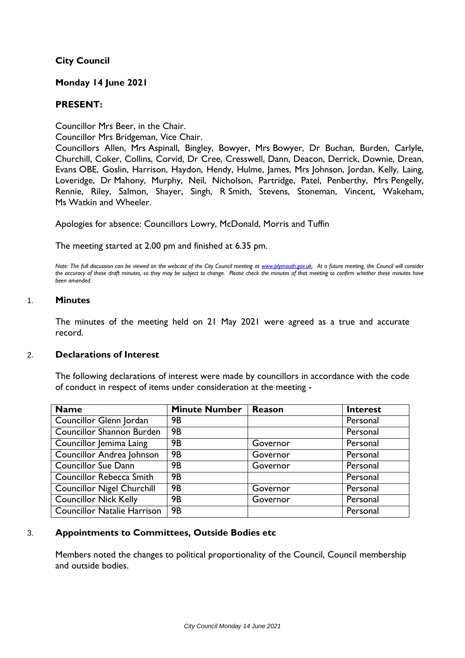## **City Council**

## **Monday 14 June 2021**

### **PRESENT:**

Councillor Mrs Beer, in the Chair.

Councillor Mrs Bridgeman, Vice Chair.

Councillors Allen, Mrs Aspinall, Bingley, Bowyer, Mrs Bowyer, Dr Buchan, Burden, Carlyle, Churchill, Coker, Collins, Corvid, Dr Cree, Cresswell, Dann, Deacon, Derrick, Downie, Drean, Evans OBE, Goslin, Harrison, Haydon, Hendy, Hulme, James, Mrs Johnson, Jordan, Kelly, Laing, Loveridge, Dr Mahony, Murphy, Neil, Nicholson, Partridge, Patel, Penberthy, Mrs Pengelly, Rennie, Riley, Salmon, Shayer, Singh, R Smith, Stevens, Stoneman, Vincent, Wakeham, Ms Watkin and Wheeler.

Apologies for absence: Councillors Lowry, McDonald, Morris and Tuffin

The meeting started at 2.00 pm and finished at 6.35 pm.

*Note: The full discussion can be viewed on the webcast of the City Council meeting a[t www.plymouth.gov.uk.](http://www.plymouth.gov.uk/) At a future meeting, the Council will consider the accuracy of these draft minutes, so they may be subject to change. Please check the minutes of that meeting to confirm whether these minutes have been amended.*

#### 1. **Minutes**

The minutes of the meeting held on 21 May 2021 were agreed as a true and accurate record.

#### 2. **Declarations of Interest**

The following declarations of interest were made by councillors in accordance with the code of conduct in respect of items under consideration at the meeting -

| $\overline{\mathsf{Name}}$         | <b>Minute Number</b> | <b>Reason</b> | <b>Interest</b> |
|------------------------------------|----------------------|---------------|-----------------|
| Councillor Glenn Jordan            | <b>9B</b>            |               | Personal        |
| Councillor Shannon Burden          | <b>9B</b>            |               | Personal        |
| Councillor Jemima Laing            | <b>9B</b>            | Governor      | Personal        |
| Councillor Andrea Johnson          | <b>9B</b>            | Governor      | Personal        |
| Councillor Sue Dann                | <b>9B</b>            | Governor      | Personal        |
| Councillor Rebecca Smith           | <b>9B</b>            |               | Personal        |
| <b>Councillor Nigel Churchill</b>  | <b>9B</b>            | Governor      | Personal        |
| <b>Councillor Nick Kelly</b>       | <b>9B</b>            | Governor      | Personal        |
| <b>Councillor Natalie Harrison</b> | <b>9B</b>            |               | Personal        |

## 3. **Appointments to Committees, Outside Bodies etc**

Members noted the changes to political proportionality of the Council, Council membership and outside bodies.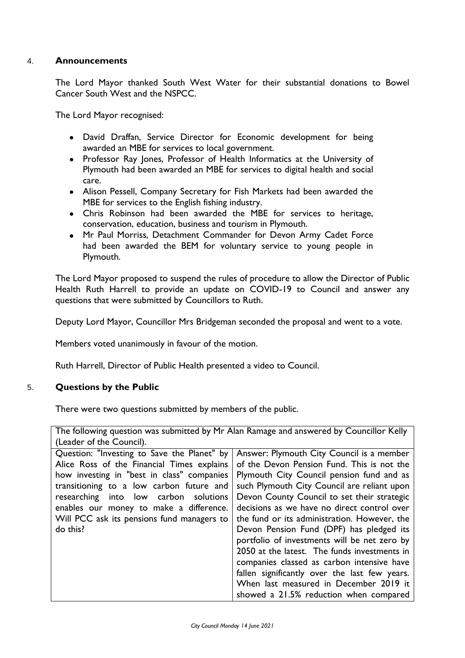## 4. **Announcements**

The Lord Mayor thanked South West Water for their substantial donations to Bowel Cancer South West and the NSPCC.

The Lord Mayor recognised:

- David Draffan, Service Director for Economic development for being awarded an MBE for services to local government.
- Professor Ray Jones, Professor of Health Informatics at the University of Plymouth had been awarded an MBE for services to digital health and social care.
- Alison Pessell, Company Secretary for Fish Markets had been awarded the MBE for services to the English fishing industry.
- Chris Robinson had been awarded the MBE for services to heritage, conservation, education, business and tourism in Plymouth.
- Mr Paul Morriss, Detachment Commander for Devon Army Cadet Force had been awarded the BEM for voluntary service to young people in Plymouth.

The Lord Mayor proposed to suspend the rules of procedure to allow the Director of Public Health Ruth Harrell to provide an update on COVID-19 to Council and answer any questions that were submitted by Councillors to Ruth.

Deputy Lord Mayor, Councillor Mrs Bridgeman seconded the proposal and went to a vote.

Members voted unanimously in favour of the motion.

Ruth Harrell, Director of Public Health presented a video to Council.

## 5. **Questions by the Public**

There were two questions submitted by members of the public.

The following question was submitted by Mr Alan Ramage and answered by Councillor Kelly (Leader of the Council).

| Answer: Plymouth City Council is a member     |
|-----------------------------------------------|
| of the Devon Pension Fund. This is not the    |
| Plymouth City Council pension fund and as     |
| such Plymouth City Council are reliant upon   |
| Devon County Council to set their strategic   |
| decisions as we have no direct control over   |
| the fund or its administration. However, the  |
| Devon Pension Fund (DPF) has pledged its      |
| portfolio of investments will be net zero by  |
| 2050 at the latest. The funds investments in  |
| companies classed as carbon intensive have    |
| fallen significantly over the last few years. |
| When last measured in December 2019 it        |
| showed a 21.5% reduction when compared        |
|                                               |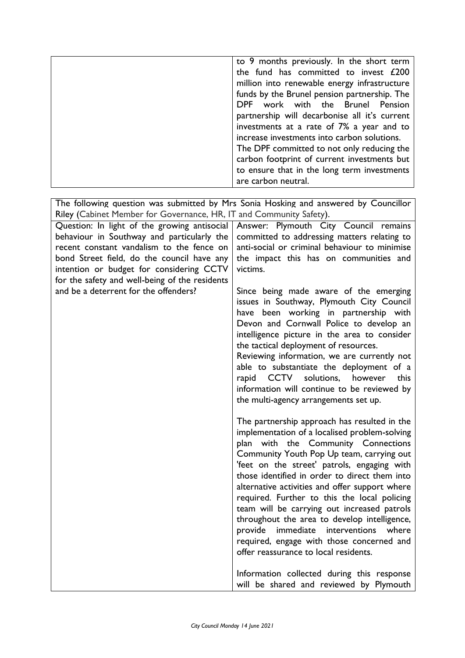|                                                                                                                                                                                                                                                                                                                              | to 9 months previously. In the short term<br>the fund has committed to invest £200<br>million into renewable energy infrastructure<br>funds by the Brunel pension partnership. The<br>DPF work with the Brunel Pension<br>partnership will decarbonise all it's current<br>investments at a rate of 7% a year and to<br>increase investments into carbon solutions.<br>The DPF committed to not only reducing the<br>carbon footprint of current investments but<br>to ensure that in the long term investments<br>are carbon neutral.                                                                                                                                                                                                                                                                                                                                                                                                                                                                                                                                                                                               |
|------------------------------------------------------------------------------------------------------------------------------------------------------------------------------------------------------------------------------------------------------------------------------------------------------------------------------|--------------------------------------------------------------------------------------------------------------------------------------------------------------------------------------------------------------------------------------------------------------------------------------------------------------------------------------------------------------------------------------------------------------------------------------------------------------------------------------------------------------------------------------------------------------------------------------------------------------------------------------------------------------------------------------------------------------------------------------------------------------------------------------------------------------------------------------------------------------------------------------------------------------------------------------------------------------------------------------------------------------------------------------------------------------------------------------------------------------------------------------|
| Riley (Cabinet Member for Governance, HR, IT and Community Safety).                                                                                                                                                                                                                                                          | The following question was submitted by Mrs Sonia Hosking and answered by Councillor                                                                                                                                                                                                                                                                                                                                                                                                                                                                                                                                                                                                                                                                                                                                                                                                                                                                                                                                                                                                                                                 |
| Question: In light of the growing antisocial<br>behaviour in Southway and particularly the<br>recent constant vandalism to the fence on<br>bond Street field, do the council have any<br>intention or budget for considering CCTV<br>for the safety and well-being of the residents<br>and be a deterrent for the offenders? | Answer: Plymouth City Council remains<br>committed to addressing matters relating to<br>anti-social or criminal behaviour to minimise<br>the impact this has on communities and<br>victims.<br>Since being made aware of the emerging<br>issues in Southway, Plymouth City Council<br>have been working in partnership with<br>Devon and Cornwall Police to develop an<br>intelligence picture in the area to consider<br>the tactical deployment of resources.<br>Reviewing information, we are currently not<br>able to substantiate the deployment of a<br>rapid CCTV solutions,<br>however<br>this<br>information will continue to be reviewed by<br>the multi-agency arrangements set up.<br>The partnership approach has resulted in the<br>implementation of a localised problem-solving<br>plan with the Community Connections<br>Community Youth Pop Up team, carrying out<br>'feet on the street' patrols, engaging with<br>those identified in order to direct them into<br>alternative activities and offer support where<br>required. Further to this the local policing<br>team will be carrying out increased patrols |
|                                                                                                                                                                                                                                                                                                                              | throughout the area to develop intelligence,<br>immediate<br>interventions<br>where<br>provide<br>required, engage with those concerned and<br>offer reassurance to local residents.<br>Information collected during this response<br>will be shared and reviewed by Plymouth                                                                                                                                                                                                                                                                                                                                                                                                                                                                                                                                                                                                                                                                                                                                                                                                                                                        |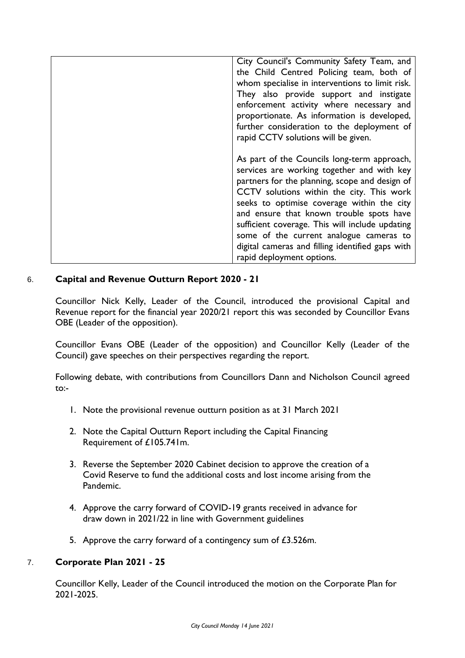| City Council's Community Safety Team, and<br>the Child Centred Policing team, both of<br>whom specialise in interventions to limit risk.<br>They also provide support and instigate<br>enforcement activity where necessary and<br>proportionate. As information is developed,<br>further consideration to the deployment of<br>rapid CCTV solutions will be given.                                                                                               |
|-------------------------------------------------------------------------------------------------------------------------------------------------------------------------------------------------------------------------------------------------------------------------------------------------------------------------------------------------------------------------------------------------------------------------------------------------------------------|
| As part of the Councils long-term approach,<br>services are working together and with key<br>partners for the planning, scope and design of<br>CCTV solutions within the city. This work<br>seeks to optimise coverage within the city<br>and ensure that known trouble spots have<br>sufficient coverage. This will include updating<br>some of the current analogue cameras to<br>digital cameras and filling identified gaps with<br>rapid deployment options. |

## 6. **Capital and Revenue Outturn Report 2020 - 21**

Councillor Nick Kelly, Leader of the Council, introduced the provisional Capital and Revenue report for the financial year 2020/21 report this was seconded by Councillor Evans OBE (Leader of the opposition).

Councillor Evans OBE (Leader of the opposition) and Councillor Kelly (Leader of the Council) gave speeches on their perspectives regarding the report.

Following debate, with contributions from Councillors Dann and Nicholson Council agreed to:-

- 1. Note the provisional revenue outturn position as at 31 March 2021
- 2. Note the Capital Outturn Report including the Capital Financing Requirement of £105.741m.
- 3. Reverse the September 2020 Cabinet decision to approve the creation of a Covid Reserve to fund the additional costs and lost income arising from the Pandemic.
- 4. Approve the carry forward of COVID-19 grants received in advance for draw down in 2021/22 in line with Government guidelines
- 5. Approve the carry forward of a contingency sum of £3.526m.

## 7. **Corporate Plan 2021 - 25**

Councillor Kelly, Leader of the Council introduced the motion on the Corporate Plan for 2021-2025.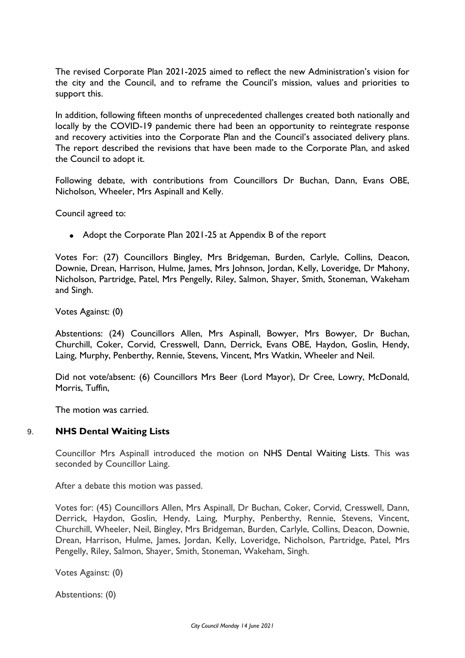The revised Corporate Plan 2021-2025 aimed to reflect the new Administration's vision for the city and the Council, and to reframe the Council's mission, values and priorities to support this.

In addition, following fifteen months of unprecedented challenges created both nationally and locally by the COVID-19 pandemic there had been an opportunity to reintegrate response and recovery activities into the Corporate Plan and the Council's associated delivery plans. The report described the revisions that have been made to the Corporate Plan, and asked the Council to adopt it.

Following debate, with contributions from Councillors Dr Buchan, Dann, Evans OBE, Nicholson, Wheeler, Mrs Aspinall and Kelly.

Council agreed to:

• Adopt the Corporate Plan 2021-25 at Appendix B of the report

Votes For: (27) Councillors Bingley, Mrs Bridgeman, Burden, Carlyle, Collins, Deacon, Downie, Drean, Harrison, Hulme, James, Mrs Johnson, Jordan, Kelly, Loveridge, Dr Mahony, Nicholson, Partridge, Patel, Mrs Pengelly, Riley, Salmon, Shayer, Smith, Stoneman, Wakeham and Singh.

Votes Against: (0)

Abstentions: (24) Councillors Allen, Mrs Aspinall, Bowyer, Mrs Bowyer, Dr Buchan, Churchill, Coker, Corvid, Cresswell, Dann, Derrick, Evans OBE, Haydon, Goslin, Hendy, Laing, Murphy, Penberthy, Rennie, Stevens, Vincent, Mrs Watkin, Wheeler and Neil.

Did not vote/absent: (6) Councillors Mrs Beer (Lord Mayor), Dr Cree, Lowry, McDonald, Morris, Tuffin,

The motion was carried.

#### 9. **NHS Dental Waiting Lists**

Councillor Mrs Aspinall introduced the motion on NHS Dental Waiting Lists. This was seconded by Councillor Laing.

After a debate this motion was passed.

Votes for: (45) Councillors Allen, Mrs Aspinall, Dr Buchan, Coker, Corvid, Cresswell, Dann, Derrick, Haydon, Goslin, Hendy, Laing, Murphy, Penberthy, Rennie, Stevens, Vincent, Churchill, Wheeler, Neil, Bingley, Mrs Bridgeman, Burden, Carlyle, Collins, Deacon, Downie, Drean, Harrison, Hulme, James, Jordan, Kelly, Loveridge, Nicholson, Partridge, Patel, Mrs Pengelly, Riley, Salmon, Shayer, Smith, Stoneman, Wakeham, Singh.

Votes Against: (0)

Abstentions: (0)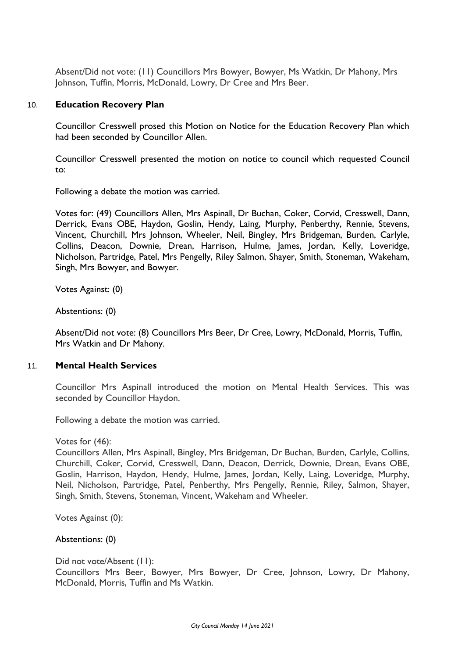Absent/Did not vote: (11) Councillors Mrs Bowyer, Bowyer, Ms Watkin, Dr Mahony, Mrs Johnson, Tuffin, Morris, McDonald, Lowry, Dr Cree and Mrs Beer.

## 10. **Education Recovery Plan**

Councillor Cresswell prosed this Motion on Notice for the Education Recovery Plan which had been seconded by Councillor Allen.

Councillor Cresswell presented the motion on notice to council which requested Council to:

Following a debate the motion was carried.

Votes for: (49) Councillors Allen, Mrs Aspinall, Dr Buchan, Coker, Corvid, Cresswell, Dann, Derrick, Evans OBE, Haydon, Goslin, Hendy, Laing, Murphy, Penberthy, Rennie, Stevens, Vincent, Churchill, Mrs Johnson, Wheeler, Neil, Bingley, Mrs Bridgeman, Burden, Carlyle, Collins, Deacon, Downie, Drean, Harrison, Hulme, James, Jordan, Kelly, Loveridge, Nicholson, Partridge, Patel, Mrs Pengelly, Riley Salmon, Shayer, Smith, Stoneman, Wakeham, Singh, Mrs Bowyer, and Bowyer.

Votes Against: (0)

Abstentions: (0)

Absent/Did not vote: (8) Councillors Mrs Beer, Dr Cree, Lowry, McDonald, Morris, Tuffin, Mrs Watkin and Dr Mahony.

#### 11. **Mental Health Services**

Councillor Mrs Aspinall introduced the motion on Mental Health Services. This was seconded by Councillor Haydon.

Following a debate the motion was carried.

Votes for (46):

Councillors Allen, Mrs Aspinall, Bingley, Mrs Bridgeman, Dr Buchan, Burden, Carlyle, Collins, Churchill, Coker, Corvid, Cresswell, Dann, Deacon, Derrick, Downie, Drean, Evans OBE, Goslin, Harrison, Haydon, Hendy, Hulme, James, Jordan, Kelly, Laing, Loveridge, Murphy, Neil, Nicholson, Partridge, Patel, Penberthy, Mrs Pengelly, Rennie, Riley, Salmon, Shayer, Singh, Smith, Stevens, Stoneman, Vincent, Wakeham and Wheeler.

Votes Against (0):

Abstentions: (0)

Did not vote/Absent (11): Councillors Mrs Beer, Bowyer, Mrs Bowyer, Dr Cree, Johnson, Lowry, Dr Mahony, McDonald, Morris, Tuffin and Ms Watkin.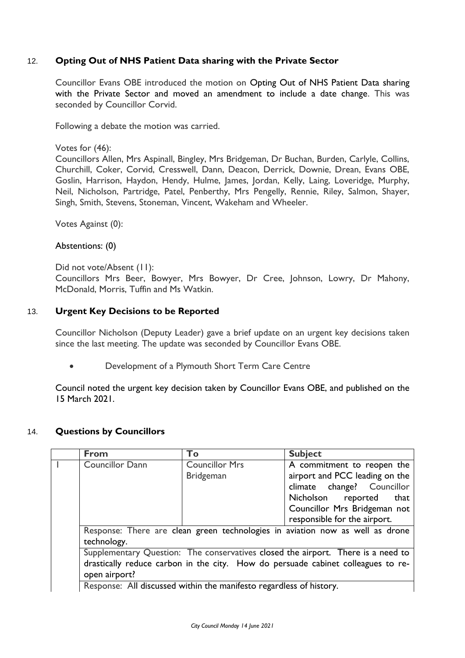# 12. **Opting Out of NHS Patient Data sharing with the Private Sector**

Councillor Evans OBE introduced the motion on Opting Out of NHS Patient Data sharing with the Private Sector and moved an amendment to include a date change. This was seconded by Councillor Corvid.

Following a debate the motion was carried.

### Votes for (46):

Councillors Allen, Mrs Aspinall, Bingley, Mrs Bridgeman, Dr Buchan, Burden, Carlyle, Collins, Churchill, Coker, Corvid, Cresswell, Dann, Deacon, Derrick, Downie, Drean, Evans OBE, Goslin, Harrison, Haydon, Hendy, Hulme, James, Jordan, Kelly, Laing, Loveridge, Murphy, Neil, Nicholson, Partridge, Patel, Penberthy, Mrs Pengelly, Rennie, Riley, Salmon, Shayer, Singh, Smith, Stevens, Stoneman, Vincent, Wakeham and Wheeler.

Votes Against (0):

## Abstentions: (0)

Did not vote/Absent (11):

Councillors Mrs Beer, Bowyer, Mrs Bowyer, Dr Cree, Johnson, Lowry, Dr Mahony, McDonald, Morris, Tuffin and Ms Watkin.

## 13. **Urgent Key Decisions to be Reported**

Councillor Nicholson (Deputy Leader) gave a brief update on an urgent key decisions taken since the last meeting. The update was seconded by Councillor Evans OBE.

Development of a Plymouth Short Term Care Centre

Council noted the urgent key decision taken by Councillor Evans OBE, and published on the 15 March 2021.

## 14. **Questions by Councillors**

|  | From                                                                                                                                                                                                                                                                 | <b>To</b>             | <b>Subject</b>                 |
|--|----------------------------------------------------------------------------------------------------------------------------------------------------------------------------------------------------------------------------------------------------------------------|-----------------------|--------------------------------|
|  | <b>Councillor Dann</b>                                                                                                                                                                                                                                               | <b>Councillor Mrs</b> | A commitment to reopen the     |
|  |                                                                                                                                                                                                                                                                      | <b>Bridgeman</b>      | airport and PCC leading on the |
|  |                                                                                                                                                                                                                                                                      |                       | climate change? Councillor     |
|  |                                                                                                                                                                                                                                                                      |                       | Nicholson reported<br>that     |
|  |                                                                                                                                                                                                                                                                      |                       | Councillor Mrs Bridgeman not   |
|  |                                                                                                                                                                                                                                                                      |                       | responsible for the airport.   |
|  | Response: There are clean green technologies in aviation now as well as drone<br>technology.<br>Supplementary Question: The conservatives closed the airport. There is a need to<br>drastically reduce carbon in the city. How do persuade cabinet colleagues to re- |                       |                                |
|  |                                                                                                                                                                                                                                                                      |                       |                                |
|  |                                                                                                                                                                                                                                                                      |                       |                                |
|  |                                                                                                                                                                                                                                                                      |                       |                                |
|  | open airport?                                                                                                                                                                                                                                                        |                       |                                |
|  | Response: All discussed within the manifesto regardless of history.                                                                                                                                                                                                  |                       |                                |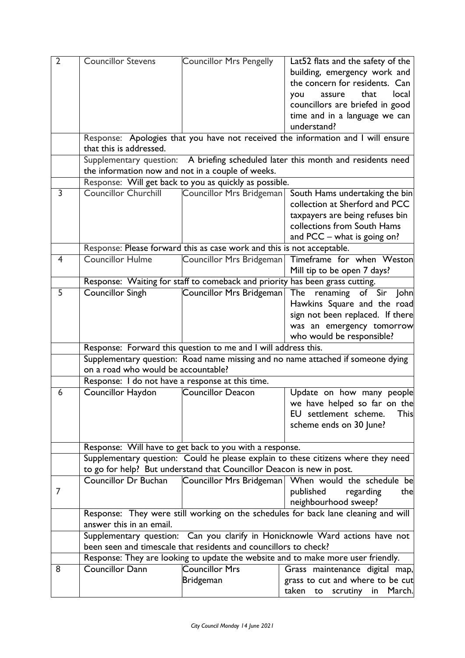| $\overline{2}$ | <b>Councillor Stevens</b>                                                                                                                            | <b>Councillor Mrs Pengelly</b>                                               | Lat52 flats and the safety of the                                                  |
|----------------|------------------------------------------------------------------------------------------------------------------------------------------------------|------------------------------------------------------------------------------|------------------------------------------------------------------------------------|
|                |                                                                                                                                                      |                                                                              | building, emergency work and                                                       |
|                |                                                                                                                                                      |                                                                              | the concern for residents. Can                                                     |
|                |                                                                                                                                                      |                                                                              | that<br>local<br>assure<br>you                                                     |
|                |                                                                                                                                                      |                                                                              | councillors are briefed in good                                                    |
|                |                                                                                                                                                      |                                                                              | time and in a language we can                                                      |
|                |                                                                                                                                                      |                                                                              | understand?                                                                        |
|                | that this is addressed.                                                                                                                              |                                                                              | Response: Apologies that you have not received the information and I will ensure   |
|                |                                                                                                                                                      |                                                                              | Supplementary question: A briefing scheduled later this month and residents need   |
|                |                                                                                                                                                      | the information now and not in a couple of weeks.                            |                                                                                    |
|                |                                                                                                                                                      | Response: Will get back to you as quickly as possible.                       |                                                                                    |
| 3              | <b>Councillor Churchill</b>                                                                                                                          | Councillor Mrs Bridgeman                                                     | South Hams undertaking the bin                                                     |
|                |                                                                                                                                                      |                                                                              | collection at Sherford and PCC                                                     |
|                |                                                                                                                                                      |                                                                              | taxpayers are being refuses bin                                                    |
|                |                                                                                                                                                      |                                                                              | collections from South Hams                                                        |
|                |                                                                                                                                                      |                                                                              | and PCC - what is going on?                                                        |
|                |                                                                                                                                                      | Response: Please forward this as case work and this is not acceptable.       |                                                                                    |
| $\overline{4}$ | <b>Councillor Hulme</b>                                                                                                                              | Councillor Mrs Bridgeman                                                     | Timeframe for when Weston                                                          |
|                |                                                                                                                                                      |                                                                              | Mill tip to be open 7 days?                                                        |
|                |                                                                                                                                                      | Response: Waiting for staff to comeback and priority has been grass cutting. |                                                                                    |
| 5              | <b>Councillor Singh</b>                                                                                                                              | Councillor Mrs Bridgeman                                                     | The renaming of Sir John                                                           |
|                |                                                                                                                                                      |                                                                              | Hawkins Square and the road                                                        |
|                |                                                                                                                                                      |                                                                              | sign not been replaced. If there                                                   |
|                |                                                                                                                                                      |                                                                              | was an emergency tomorrow                                                          |
|                |                                                                                                                                                      |                                                                              | who would be responsible?                                                          |
|                |                                                                                                                                                      | Response: Forward this question to me and I will address this.               |                                                                                    |
|                |                                                                                                                                                      |                                                                              | Supplementary question: Road name missing and no name attached if someone dying    |
|                | on a road who would be accountable?                                                                                                                  |                                                                              |                                                                                    |
|                | Response: I do not have a response at this time.                                                                                                     |                                                                              |                                                                                    |
| 6              | Councillor Haydon                                                                                                                                    | Councillor Deacon                                                            | Update on how many people                                                          |
|                |                                                                                                                                                      |                                                                              | we have helped so far on the                                                       |
|                |                                                                                                                                                      |                                                                              | This<br>EU settlement scheme.                                                      |
|                |                                                                                                                                                      |                                                                              | scheme ends on 30 June?                                                            |
|                |                                                                                                                                                      |                                                                              |                                                                                    |
|                |                                                                                                                                                      | Response: Will have to get back to you with a response.                      |                                                                                    |
|                |                                                                                                                                                      |                                                                              | Supplementary question: Could he please explain to these citizens where they need  |
|                |                                                                                                                                                      | to go for help? But understand that Councillor Deacon is new in post.        |                                                                                    |
|                | Councillor Dr Buchan                                                                                                                                 |                                                                              | Councillor Mrs Bridgeman   When would the schedule be                              |
| 7              |                                                                                                                                                      |                                                                              | published<br>regarding<br>the                                                      |
|                |                                                                                                                                                      |                                                                              | neighbourhood sweep?                                                               |
|                |                                                                                                                                                      |                                                                              | Response: They were still working on the schedules for back lane cleaning and will |
|                | answer this in an email.                                                                                                                             |                                                                              |                                                                                    |
|                | Supplementary question: Can you clarify in Honicknowle Ward actions have not                                                                         |                                                                              |                                                                                    |
|                | been seen and timescale that residents and councillors to check?<br>Response: They are looking to update the website and to make more user friendly. |                                                                              |                                                                                    |
| 8              | Councillor Dann                                                                                                                                      | <b>Councillor Mrs</b>                                                        |                                                                                    |
|                |                                                                                                                                                      |                                                                              | Grass maintenance digital map,                                                     |
|                |                                                                                                                                                      | Bridgeman                                                                    | grass to cut and where to be cut                                                   |
|                |                                                                                                                                                      |                                                                              | taken to<br>scrutiny<br>in March.                                                  |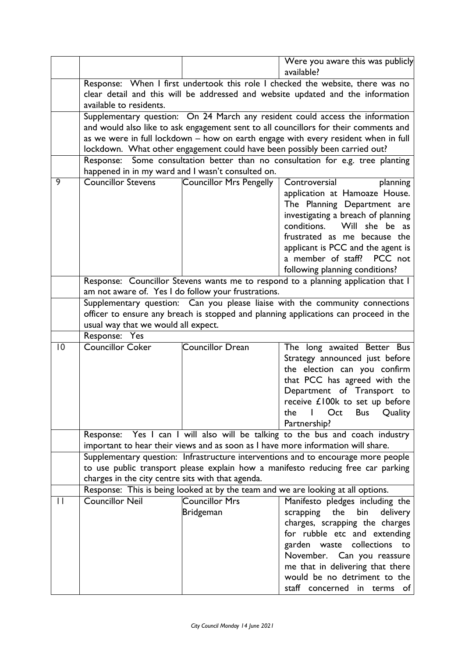|             |                                                                                   |                                                                                | Were you aware this was publicly                                                     |  |
|-------------|-----------------------------------------------------------------------------------|--------------------------------------------------------------------------------|--------------------------------------------------------------------------------------|--|
|             |                                                                                   |                                                                                | available?                                                                           |  |
|             |                                                                                   | Response: When I first undertook this role I checked the website, there was no |                                                                                      |  |
|             |                                                                                   |                                                                                | clear detail and this will be addressed and website updated and the information      |  |
|             | available to residents.                                                           |                                                                                |                                                                                      |  |
|             |                                                                                   |                                                                                | Supplementary question: On 24 March any resident could access the information        |  |
|             |                                                                                   |                                                                                | and would also like to ask engagement sent to all councillors for their comments and |  |
|             |                                                                                   |                                                                                | as we were in full lockdown - how on earth engage with every resident when in full   |  |
|             |                                                                                   |                                                                                | lockdown. What other engagement could have been possibly been carried out?           |  |
|             |                                                                                   |                                                                                | Response: Some consultation better than no consultation for e.g. tree planting       |  |
|             |                                                                                   | happened in in my ward and I wasn't consulted on.                              |                                                                                      |  |
| 9           | <b>Councillor Stevens</b>                                                         | Councillor Mrs Pengelly                                                        | Controversial<br>planning                                                            |  |
|             |                                                                                   |                                                                                | application at Hamoaze House.                                                        |  |
|             |                                                                                   |                                                                                | The Planning Department are                                                          |  |
|             |                                                                                   |                                                                                | investigating a breach of planning                                                   |  |
|             |                                                                                   |                                                                                | conditions. Will she be as                                                           |  |
|             |                                                                                   |                                                                                | frustrated as me because the                                                         |  |
|             |                                                                                   |                                                                                | applicant is PCC and the agent is                                                    |  |
|             |                                                                                   |                                                                                | a member of staff? PCC not                                                           |  |
|             |                                                                                   |                                                                                | following planning conditions?                                                       |  |
|             |                                                                                   |                                                                                | Response: Councillor Stevens wants me to respond to a planning application that I    |  |
|             |                                                                                   | am not aware of. Yes I do follow your frustrations.                            |                                                                                      |  |
|             |                                                                                   |                                                                                | Supplementary question: Can you please liaise with the community connections         |  |
|             |                                                                                   |                                                                                | officer to ensure any breach is stopped and planning applications can proceed in the |  |
|             | usual way that we would all expect.                                               |                                                                                |                                                                                      |  |
|             | Response: Yes                                                                     |                                                                                |                                                                                      |  |
| $ 0\rangle$ | <b>Councillor Coker</b>                                                           | Councillor Drean                                                               | The long awaited Better Bus                                                          |  |
|             |                                                                                   |                                                                                | Strategy announced just before                                                       |  |
|             |                                                                                   |                                                                                | the election can you confirm                                                         |  |
|             |                                                                                   |                                                                                | that PCC has agreed with the                                                         |  |
|             |                                                                                   |                                                                                | Department of Transport to                                                           |  |
|             |                                                                                   |                                                                                | receive £100k to set up before                                                       |  |
|             |                                                                                   |                                                                                | l Oct Bus<br>the<br>Quality                                                          |  |
|             |                                                                                   |                                                                                | Partnership?                                                                         |  |
|             |                                                                                   |                                                                                | Response: Yes I can I will also will be talking to the bus and coach industry        |  |
|             |                                                                                   |                                                                                | important to hear their views and as soon as I have more information will share.     |  |
|             | Supplementary question: Infrastructure interventions and to encourage more people |                                                                                |                                                                                      |  |
|             |                                                                                   |                                                                                | to use public transport please explain how a manifesto reducing free car parking     |  |
|             | charges in the city centre sits with that agenda.                                 |                                                                                |                                                                                      |  |
|             |                                                                                   |                                                                                | Response: This is being looked at by the team and we are looking at all options.     |  |
| П           | <b>Councillor Neil</b>                                                            | <b>Councillor Mrs</b>                                                          | Manifesto pledges including the                                                      |  |
|             |                                                                                   | <b>Bridgeman</b>                                                               | the<br>bin<br>scrapping<br>delivery                                                  |  |
|             |                                                                                   |                                                                                | charges, scrapping the charges                                                       |  |
|             |                                                                                   |                                                                                | for rubble etc and extending                                                         |  |
|             |                                                                                   |                                                                                | garden waste collections<br>to                                                       |  |
|             |                                                                                   |                                                                                | November. Can you reassure                                                           |  |
|             |                                                                                   |                                                                                | me that in delivering that there                                                     |  |
|             |                                                                                   |                                                                                | would be no detriment to the                                                         |  |
|             |                                                                                   |                                                                                | staff concerned in terms of                                                          |  |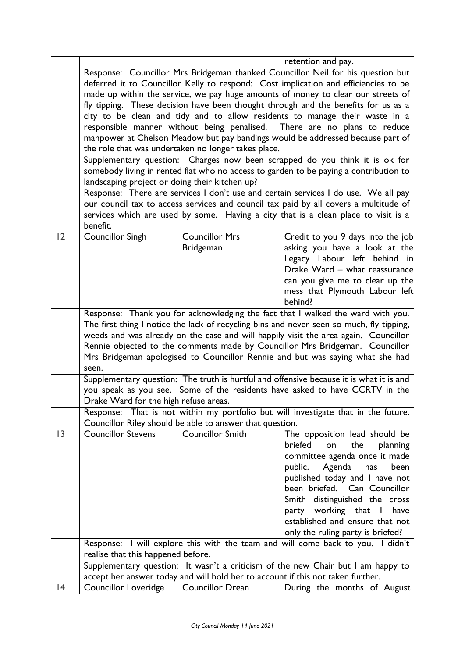|    |                                                                                                                                                                        |                                                          | retention and pay.                                                                                                                                                          |
|----|------------------------------------------------------------------------------------------------------------------------------------------------------------------------|----------------------------------------------------------|-----------------------------------------------------------------------------------------------------------------------------------------------------------------------------|
|    |                                                                                                                                                                        |                                                          | Response: Councillor Mrs Bridgeman thanked Councillor Neil for his question but                                                                                             |
|    | deferred it to Councillor Kelly to respond: Cost implication and efficiencies to be                                                                                    |                                                          |                                                                                                                                                                             |
|    | made up within the service, we pay huge amounts of money to clear our streets of                                                                                       |                                                          |                                                                                                                                                                             |
|    | fly tipping. These decision have been thought through and the benefits for us as a                                                                                     |                                                          |                                                                                                                                                                             |
|    |                                                                                                                                                                        |                                                          | city to be clean and tidy and to allow residents to manage their waste in a                                                                                                 |
|    |                                                                                                                                                                        |                                                          | responsible manner without being penalised. There are no plans to reduce                                                                                                    |
|    |                                                                                                                                                                        |                                                          | manpower at Chelson Meadow but pay bandings would be addressed because part of                                                                                              |
|    |                                                                                                                                                                        | the role that was undertaken no longer takes place.      |                                                                                                                                                                             |
|    |                                                                                                                                                                        |                                                          | Supplementary question: Charges now been scrapped do you think it is ok for                                                                                                 |
|    |                                                                                                                                                                        |                                                          | somebody living in rented flat who no access to garden to be paying a contribution to                                                                                       |
|    | landscaping project or doing their kitchen up?                                                                                                                         |                                                          |                                                                                                                                                                             |
|    |                                                                                                                                                                        |                                                          | Response: There are services I don't use and certain services I do use. We all pay                                                                                          |
|    |                                                                                                                                                                        |                                                          | our council tax to access services and council tax paid by all covers a multitude of                                                                                        |
|    |                                                                                                                                                                        |                                                          | services which are used by some. Having a city that is a clean place to visit is a                                                                                          |
|    | benefit.                                                                                                                                                               |                                                          |                                                                                                                                                                             |
| 12 | <b>Councillor Singh</b>                                                                                                                                                | <b>Councillor Mrs</b>                                    | Credit to you 9 days into the job                                                                                                                                           |
|    |                                                                                                                                                                        | <b>Bridgeman</b>                                         | asking you have a look at the                                                                                                                                               |
|    |                                                                                                                                                                        |                                                          | Legacy Labour left behind in                                                                                                                                                |
|    |                                                                                                                                                                        |                                                          | Drake Ward - what reassurance                                                                                                                                               |
|    |                                                                                                                                                                        |                                                          | can you give me to clear up the                                                                                                                                             |
|    |                                                                                                                                                                        |                                                          | mess that Plymouth Labour left                                                                                                                                              |
|    |                                                                                                                                                                        |                                                          | behind?                                                                                                                                                                     |
|    |                                                                                                                                                                        |                                                          | Response: Thank you for acknowledging the fact that I walked the ward with you.<br>The first thing I notice the lack of recycling bins and never seen so much, fly tipping, |
|    |                                                                                                                                                                        |                                                          | weeds and was already on the case and will happily visit the area again. Councillor                                                                                         |
|    |                                                                                                                                                                        |                                                          |                                                                                                                                                                             |
|    | Rennie objected to the comments made by Councillor Mrs Bridgeman. Councillor                                                                                           |                                                          |                                                                                                                                                                             |
|    | Mrs Bridgeman apologised to Councillor Rennie and but was saying what she had<br>seen.                                                                                 |                                                          |                                                                                                                                                                             |
|    |                                                                                                                                                                        |                                                          |                                                                                                                                                                             |
|    | Supplementary question: The truth is hurtful and offensive because it is what it is and<br>you speak as you see. Some of the residents have asked to have CCRTV in the |                                                          |                                                                                                                                                                             |
|    | Drake Ward for the high refuse areas.                                                                                                                                  |                                                          |                                                                                                                                                                             |
|    |                                                                                                                                                                        |                                                          | Response: That is not within my portfolio but will investigate that in the future.                                                                                          |
|    |                                                                                                                                                                        | Councillor Riley should be able to answer that question. |                                                                                                                                                                             |
| 3  | <b>Councillor Stevens</b>                                                                                                                                              | <b>Councillor Smith</b>                                  | The opposition lead should be                                                                                                                                               |
|    |                                                                                                                                                                        |                                                          | briefed<br>the<br>planning<br>on                                                                                                                                            |
|    |                                                                                                                                                                        |                                                          | committee agenda once it made                                                                                                                                               |
|    |                                                                                                                                                                        |                                                          | Agenda<br>public.<br>has<br>been                                                                                                                                            |
|    |                                                                                                                                                                        |                                                          | published today and I have not                                                                                                                                              |
|    |                                                                                                                                                                        |                                                          | been briefed. Can Councillor                                                                                                                                                |
|    |                                                                                                                                                                        |                                                          | Smith distinguished the cross                                                                                                                                               |
|    |                                                                                                                                                                        |                                                          | party working that I<br>have                                                                                                                                                |
|    |                                                                                                                                                                        |                                                          | established and ensure that not                                                                                                                                             |
|    |                                                                                                                                                                        |                                                          | only the ruling party is briefed?                                                                                                                                           |
|    |                                                                                                                                                                        |                                                          | Response: I will explore this with the team and will come back to you. I didn't                                                                                             |
|    | realise that this happened before.                                                                                                                                     |                                                          |                                                                                                                                                                             |
|    | Supplementary question: It wasn't a criticism of the new Chair but I am happy to                                                                                       |                                                          |                                                                                                                                                                             |
|    | accept her answer today and will hold her to account if this not taken further.                                                                                        |                                                          |                                                                                                                                                                             |
| 4  | Councillor Loveridge                                                                                                                                                   | Councillor Drean                                         | During the months of August                                                                                                                                                 |